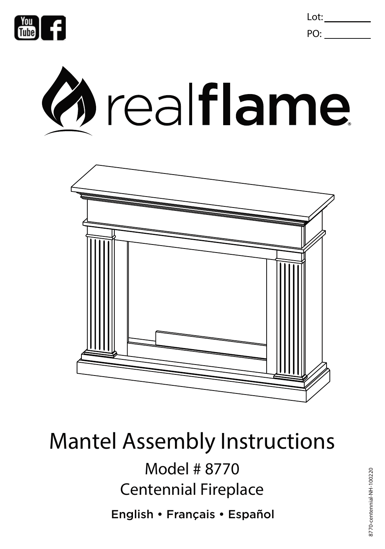

Lot: PO:





# Mantel Assembly Instructions

Model # 8770 Centennial Fireplace

English • Français • Español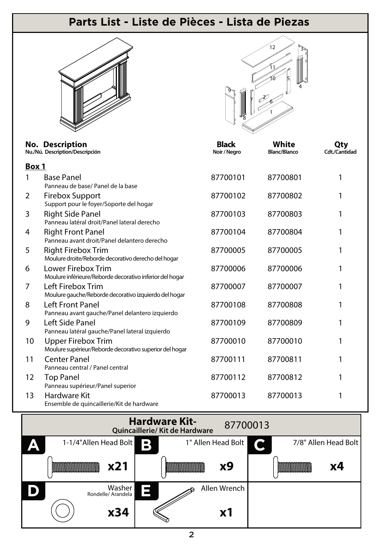### **Parts List - Liste de Pièces - Lista de Piezas**



|                | <b>No. Description</b><br>Nu./Nú. Description/Descripción                            | <b>Black</b><br>Noir / Negro | <b>White</b><br><b>Blanc/Blanco</b> | Qty<br><b>Cdt./Cantidad</b> |
|----------------|--------------------------------------------------------------------------------------|------------------------------|-------------------------------------|-----------------------------|
| Box 1          |                                                                                      |                              |                                     |                             |
| 1              | <b>Base Panel</b><br>Panneau de base/ Panel de la base                               | 87700101                     | 87700801                            | 1                           |
| $\overline{2}$ | <b>Firebox Support</b><br>Support pour le foyer/Soporte del hogar                    | 87700102                     | 87700802                            | 1                           |
| 3              | <b>Right Side Panel</b><br>Panneau latéral droit/Panel lateral derecho               | 87700103                     | 87700803                            | 1                           |
| 4              | <b>Right Front Panel</b><br>Panneau avant droit/Panel delantero derecho              | 87700104                     | 87700804                            | 1                           |
| 5              | <b>Right Firebox Trim</b><br>Moulure droite/Reborde decorativo derecho del hogar     | 87700005                     | 87700005                            | 1                           |
| 6              | Lower Firebox Trim<br>Moulure inférieure/Reborde decorativo inferior del hogar       | 87700006                     | 87700006                            |                             |
| 7              | Left Firebox Trim<br>Moulure gauche/Reborde decorativo izquierdo del hogar           | 87700007                     | 87700007                            |                             |
| 8              | <b>Left Front Panel</b><br>Panneau avant gauche/Panel delantero izquierdo            | 87700108                     | 87700808                            | 1                           |
| 9              | Left Side Panel<br>Panneau latéral gauche/Panel lateral izquierdo                    | 87700109                     | 87700809                            | 1                           |
| 10             | <b>Upper Firebox Trim</b><br>Moulure supérieur/Reborde decorativo superior del hogar | 87700010                     | 87700010                            | 1                           |
| 11             | <b>Center Panel</b><br>Panneau central / Panel central                               | 87700111                     | 87700811                            | 1                           |
| 12             | <b>Top Panel</b><br>Panneau supérieur/Panel superior                                 | 87700112                     | 87700812                            | 1                           |
| 13             | <b>Hardware Kit</b><br>Ensemble de quincaillerie/Kit de hardware                     | 87700013                     | 87700013                            | 1                           |

![](_page_1_Figure_4.jpeg)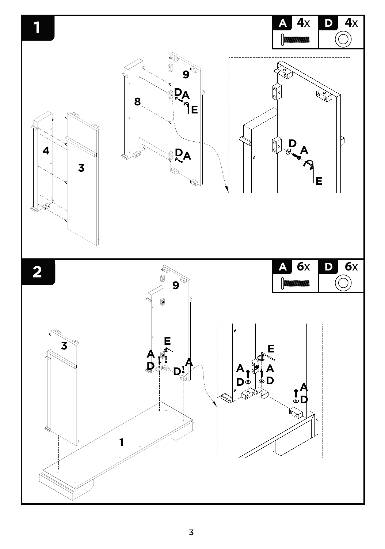![](_page_2_Figure_0.jpeg)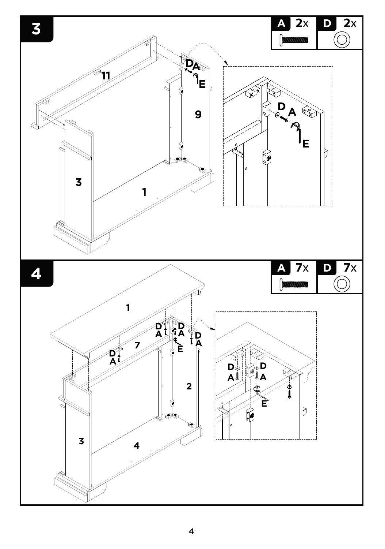![](_page_3_Figure_0.jpeg)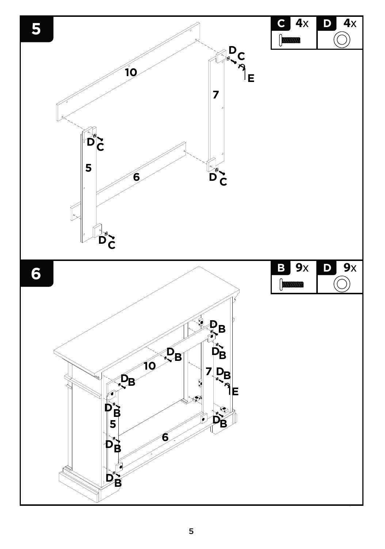![](_page_4_Figure_0.jpeg)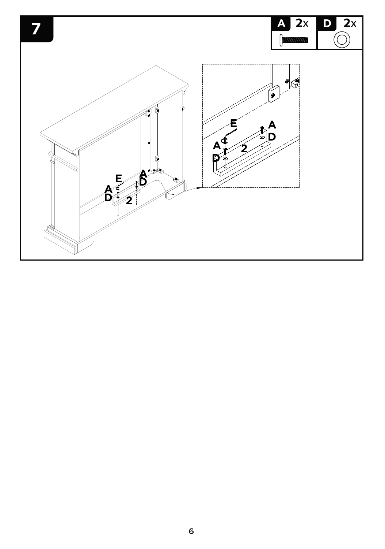![](_page_5_Figure_0.jpeg)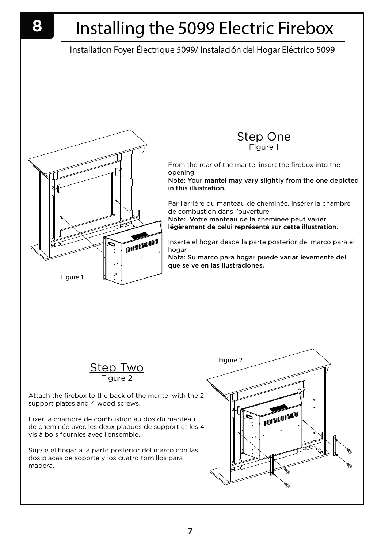# Installing the 5099 Electric Firebox

### Installation Foyer Électrique 5099/ Instalación del Hogar Eléctrico 5099

![](_page_6_Picture_3.jpeg)

**Step One** Figure 1

From the rear of the mantel insert the firebox into the opening.

Note: Your mantel may vary slightly from the one depicted in this illustration.

Par l'arrière du manteau de cheminée, insérer la chambre de combustion dans l'ouverture.

Note: Votre manteau de la cheminée peut varier légèrement de celui représenté sur cette illustration.

Inserte el hogar desde la parte posterior del marco para el hogar.

Nota: Su marco para hogar puede variar levemente del que se ve en las ilustraciones.

![](_page_6_Picture_11.jpeg)

Attach the firebox to the back of the mantel with the 2 support plates and 4 wood screws.

Fixer la chambre de combustion au dos du manteau de cheminée avec les deux plaques de support et les 4 vis à bois fournies avec l'ensemble.

Sujete el hogar a la parte posterior del marco con las dos placas de soporte y los cuatro tornillos para madera.

![](_page_6_Figure_15.jpeg)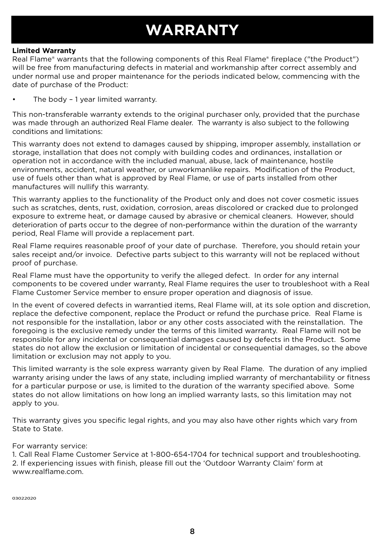### **WARRANTY**

### **Limited Warranty**

Real Flame® warrants that the following components of this Real Flame® fireplace ("the Product") will be free from manufacturing defects in material and workmanship after correct assembly and under normal use and proper maintenance for the periods indicated below, commencing with the date of purchase of the Product:

The body - 1 year limited warranty.

This non-transferable warranty extends to the original purchaser only, provided that the purchase was made through an authorized Real Flame dealer. The warranty is also subject to the following conditions and limitations:

This warranty does not extend to damages caused by shipping, improper assembly, installation or storage, installation that does not comply with building codes and ordinances, installation or operation not in accordance with the included manual, abuse, lack of maintenance, hostile environments, accident, natural weather, or unworkmanlike repairs. Modification of the Product, use of fuels other than what is approved by Real Flame, or use of parts installed from other manufactures will nullify this warranty.

This warranty applies to the functionality of the Product only and does not cover cosmetic issues such as scratches, dents, rust, oxidation, corrosion, areas discolored or cracked due to prolonged exposure to extreme heat, or damage caused by abrasive or chemical cleaners. However, should deterioration of parts occur to the degree of non-performance within the duration of the warranty period, Real Flame will provide a replacement part.

Real Flame requires reasonable proof of your date of purchase. Therefore, you should retain your sales receipt and/or invoice. Defective parts subject to this warranty will not be replaced without proof of purchase.

Real Flame must have the opportunity to verify the alleged defect. In order for any internal components to be covered under warranty, Real Flame requires the user to troubleshoot with a Real Flame Customer Service member to ensure proper operation and diagnosis of issue.

In the event of covered defects in warrantied items, Real Flame will, at its sole option and discretion, replace the defective component, replace the Product or refund the purchase price. Real Flame is not responsible for the installation, labor or any other costs associated with the reinstallation. The foregoing is the exclusive remedy under the terms of this limited warranty. Real Flame will not be responsible for any incidental or consequential damages caused by defects in the Product. Some states do not allow the exclusion or limitation of incidental or consequential damages, so the above limitation or exclusion may not apply to you.

This limited warranty is the sole express warranty given by Real Flame. The duration of any implied warranty arising under the laws of any state, including implied warranty of merchantability or fitness for a particular purpose or use, is limited to the duration of the warranty specified above. Some states do not allow limitations on how long an implied warranty lasts, so this limitation may not apply to you.

This warranty gives you specific legal rights, and you may also have other rights which vary from State to State.

### For warranty service:

1. Call Real Flame Customer Service at 1-800-654-1704 for technical support and troubleshooting. 2. If experiencing issues with finish, please fill out the 'Outdoor Warranty Claim' form at www.realflame.com.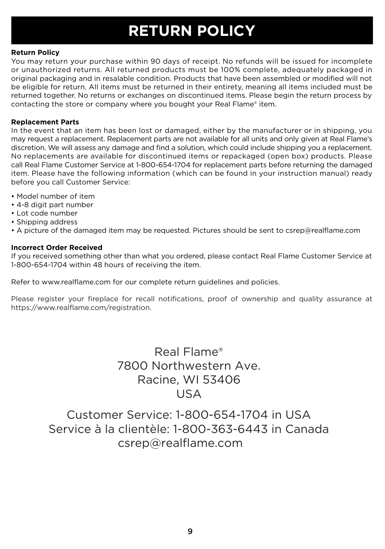### **RETURN POLICY**

### **Return Policy**

You may return your purchase within 90 days of receipt. No refunds will be issued for incomplete or unauthorized returns. All returned products must be 100% complete, adequately packaged in original packaging and in resalable condition. Products that have been assembled or modified will not be eligible for return. All items must be returned in their entirety, meaning all items included must be returned together. No returns or exchanges on discontinued items. Please begin the return process by contacting the store or company where you bought your Real Flame® item.

### **Replacement Parts**

In the event that an item has been lost or damaged, either by the manufacturer or in shipping, you may request a replacement. Replacement parts are not available for all units and only given at Real Flame's discretion. We will assess any damage and find a solution, which could include shipping you a replacement. No replacements are available for discontinued items or repackaged (open box) products. Please call Real Flame Customer Service at 1-800-654-1704 for replacement parts before returning the damaged item. Please have the following information (which can be found in your instruction manual) ready before you call Customer Service:

- Model number of item
- 4-8 digit part number
- Lot code number
- Shipping address
- A picture of the damaged item may be requested. Pictures should be sent to csrep@realflame.com

### **Incorrect Order Received**

If you received something other than what you ordered, please contact Real Flame Customer Service at 1-800-654-1704 within 48 hours of receiving the item.

Refer to www.realflame.com for our complete return guidelines and policies.

Please register your fireplace for recall notifications, proof of ownership and quality assurance at https://www.realflame.com/registration.

> Real Flame® 7800 Northwestern Ave. Racine, WI 53406 USA

Customer Service: 1-800-654-1704 in USA Service à la clientèle: 1-800-363-6443 in Canada csrep@realflame.com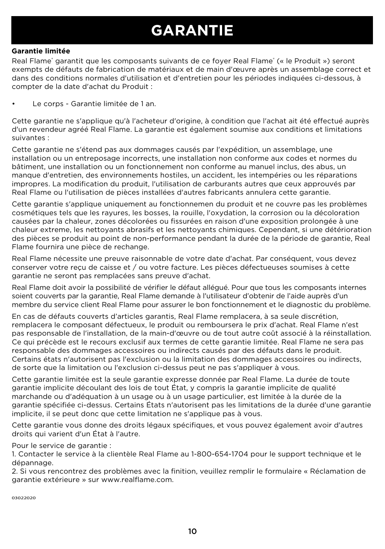## **GARANTIE**

### **Garantie limitée**

Real Flame<sup>®</sup> garantit que les composants suivants de ce foyer Real Flame® (« le Produit ») seront exempts de défauts de fabrication de matériaux et de main d'œuvre après un assemblage correct et dans des conditions normales d'utilisation et d'entretien pour les périodes indiquées ci-dessous, à compter de la date d'achat du Produit :

Le corps - Garantie limitée de 1 an.

Cette garantie ne s'applique qu'à l'acheteur d'origine, à condition que l'achat ait été effectué auprès d'un revendeur agréé Real Flame. La garantie est également soumise aux conditions et limitations suivantes :

Cette garantie ne s'étend pas aux dommages causés par l'expédition, un assemblage, une installation ou un entreposage incorrects, une installation non conforme aux codes et normes du bâtiment, une installation ou un fonctionnement non conforme au manuel inclus, des abus, un manque d'entretien, des environnements hostiles, un accident, les intempéries ou les réparations impropres. La modification du produit, l'utilisation de carburants autres que ceux approuvés par Real Flame ou l'utilisation de pièces installées d'autres fabricants annulera cette garantie.

Cette garantie s'applique uniquement au fonctionnemen du produit et ne couvre pas les problèmes cosmétiques tels que les rayures, les bosses, la rouille, l'oxydation, la corrosion ou la décoloration causées par la chaleur, zones décolorées ou fissurées en raison d'une exposition prolongée à une chaleur extreme, les nettoyants abrasifs et les nettoyants chimiques. Cependant, si une détérioration des pièces se produit au point de non-performance pendant la durée de la période de garantie, Real Flame fournira une pièce de rechange.

Real Flame nécessite une preuve raisonnable de votre date d'achat. Par conséquent, vous devez conserver votre reçu de caisse et / ou votre facture. Les pièces défectueuses soumises à cette garantie ne seront pas remplacées sans preuve d'achat.

Real Flame doit avoir la possibilité de vérifier le défaut allégué. Pour que tous les composants internes soient couverts par la garantie, Real Flame demande à l'utilisateur d'obtenir de l'aide auprès d'un membre du service client Real Flame pour assurer le bon fonctionnement et le diagnostic du problème.

En cas de défauts couverts d'articles garantis, Real Flame remplacera, à sa seule discrétion, remplacera le composant défectueux, le produit ou remboursera le prix d'achat. Real Flame n'est pas responsable de l'installation, de la main-d'œuvre ou de tout autre coût associé à la réinstallation. Ce qui précède est le recours exclusif aux termes de cette garantie limitée. Real Flame ne sera pas responsable des dommages accessoires ou indirects causés par des défauts dans le produit. Certains états n'autorisent pas l'exclusion ou la limitation des dommages accessoires ou indirects, de sorte que la limitation ou l'exclusion ci-dessus peut ne pas s'appliquer à vous.

Cette garantie limitée est la seule garantie expresse donnée par Real Flame. La durée de toute garantie implicite découlant des lois de tout État, y compris la garantie implicite de qualité marchande ou d'adéquation à un usage ou à un usage particulier, est limitée à la durée de la garantie spécifiée ci-dessus. Certains États n'autorisent pas les limitations de la durée d'une garantie implicite, il se peut donc que cette limitation ne s'applique pas à vous.

Cette garantie vous donne des droits légaux spécifiques, et vous pouvez également avoir d'autres droits qui varient d'un État à l'autre.

Pour le service de garantie :

1. Contacter le service à la clientèle Real Flame au 1-800-654-1704 pour le support technique et le dépannage.

2. Si vous rencontrez des problèmes avec la finition, veuillez remplir le formulaire « Réclamation de garantie extérieure » sur www.realflame.com.

03022020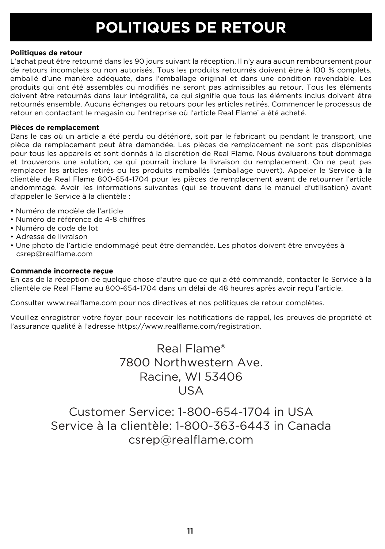## **POLITIQUES DE RETOUR**

### **Politiques de retour**

L'achat peut être retourné dans les 90 jours suivant la réception. Il n'y aura aucun remboursement pour de retours incomplets ou non autorisés. Tous les produits retournés doivent être à 100 % complets, emballé d'une manière adéquate, dans l'emballage original et dans une condition revendable. Les produits qui ont été assemblés ou modifiés ne seront pas admissibles au retour. Tous les éléments doivent être retournés dans leur intégralité, ce qui signifie que tous les éléments inclus doivent être retournés ensemble. Aucuns échanges ou retours pour les articles retirés. Commencer le processus de retour en contactant le magasin ou l'entreprise où l'article Real Flame® a été acheté.

### **Pièces de remplacement**

Dans le cas où un article a été perdu ou détérioré, soit par le fabricant ou pendant le transport, une pièce de remplacement peut être demandée. Les pièces de remplacement ne sont pas disponibles pour tous les appareils et sont donnés à la discrétion de Real Flame. Nous évaluerons tout dommage et trouverons une solution, ce qui pourrait inclure la livraison du remplacement. On ne peut pas remplacer les articles retirés ou les produits remballés (emballage ouvert). Appeler le Service à la clientèle de Real Flame 800-654-1704 pour les pièces de remplacement avant de retourner l'article endommagé. Avoir les informations suivantes (qui se trouvent dans le manuel d'utilisation) avant d'appeler le Service à la clientèle :

- Numéro de modèle de l'article
- Numéro de référence de 4-8 chiffres
- Numéro de code de lot
- Adresse de livraison
- Une photo de l'article endommagé peut être demandée. Les photos doivent être envoyées à csrep@realflame.com

### **Commande incorrecte reçue**

En cas de la réception de quelque chose d'autre que ce qui a été commandé, contacter le Service à la clientèle de Real Flame au 800-654-1704 dans un délai de 48 heures après avoir reçu l'article.

Consulter www.realflame.com pour nos directives et nos politiques de retour complètes.

Veuillez enregistrer votre foyer pour recevoir les notifications de rappel, les preuves de propriété et l'assurance qualité à l'adresse https://www.realflame.com/registration.

> Real Flame® 7800 Northwestern Ave. Racine, WI 53406 USA

Customer Service: 1-800-654-1704 in USA Service à la clientèle: 1-800-363-6443 in Canada csrep@realflame.com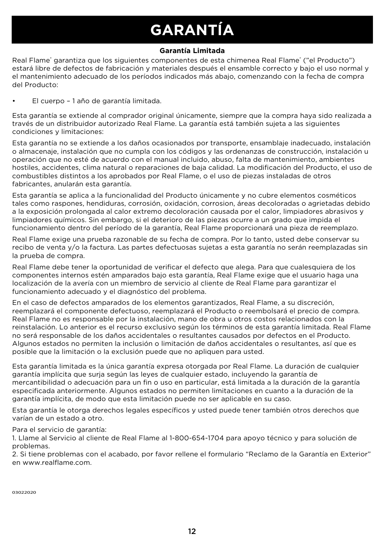# **GARANTÍA**

### **Garantía Limitada**

Real Flame® garantiza que los siguientes componentes de esta chimenea Real Flame® ("el Producto") estará libre de defectos de fabricación y materiales después el ensamble correcto y bajo el uso normal y el mantenimiento adecuado de los períodos indicados más abajo, comenzando con la fecha de compra del Producto:

### • El cuerpo – 1 año de garantía limitada.

Esta garantía se extiende al comprador original únicamente, siempre que la compra haya sido realizada a través de un distribuidor autorizado Real Flame. La garantía está también sujeta a las siguientes condiciones y limitaciones:

Esta garantía no se extiende a los daños ocasionados por transporte, ensamblaje inadecuado, instalación o almacenaje, instalación que no cumpla con los códigos y las ordenanzas de construcción, instalación u operación que no esté de acuerdo con el manual incluido, abuso, falta de mantenimiento, ambientes hostiles, accidentes, clima natural o reparaciones de baja calidad. La modificación del Producto, el uso de combustibles distintos a los aprobados por Real Flame, o el uso de piezas instaladas de otros fabricantes, anularán esta garantía.

Esta garantía se aplica a la funcionalidad del Producto únicamente y no cubre elementos cosméticos tales como raspones, hendiduras, corrosión, oxidación, corrosion, áreas decoloradas o agrietadas debido a la exposición prolongada al calor extremo decoloración causada por el calor, limpiadores abrasivos y limpiadores químicos. Sin embargo, si el deterioro de las piezas ocurre a un grado que impida el funcionamiento dentro del período de la garantía, Real Flame proporcionará una pieza de reemplazo.

Real Flame exige una prueba razonable de su fecha de compra. Por lo tanto, usted debe conservar su recibo de venta y/o la factura. Las partes defectuosas sujetas a esta garantía no serán reemplazadas sin la prueba de compra.

Real Flame debe tener la oportunidad de verificar el defecto que alega. Para que cualesquiera de los componentes internos estén amparados bajo esta garantía, Real Flame exige que el usuario haga una localización de la avería con un miembro de servicio al cliente de Real Flame para garantizar el funcionamiento adecuado y el diagnóstico del problema.

En el caso de defectos amparados de los elementos garantizados, Real Flame, a su discreción, reemplazará el componente defectuoso, reemplazará el Producto o reembolsará el precio de compra. Real Flame no es responsable por la instalación, mano de obra u otros costos relacionados con la reinstalación. Lo anterior es el recurso exclusivo según los términos de esta garantía limitada. Real Flame no será responsable de los daños accidentales o resultantes causados por defectos en el Producto. Algunos estados no permiten la inclusión o limitación de daños accidentales o resultantes, así que es posible que la limitación o la exclusión puede que no apliquen para usted.

Esta garantía limitada es la única garantía expresa otorgada por Real Flame. La duración de cualquier garantía implícita que surja según las leyes de cualquier estado, incluyendo la garantía de mercantibilidad o adecuación para un fin o uso en particular, está limitada a la duración de la garantía especificada anteriormente. Algunos estados no permiten limitaciones en cuanto a la duración de la garantía implícita, de modo que esta limitación puede no ser aplicable en su caso.

Esta garantía le otorga derechos legales específicos y usted puede tener también otros derechos que varían de un estado a otro.

### Para el servicio de garantía:

1. Llame al Servicio al cliente de Real Flame al 1-800-654-1704 para apoyo técnico y para solución de problemas.

2. Si tiene problemas con el acabado, por favor rellene el formulario "Reclamo de la Garantía en Exterior" en www.realflame.com.